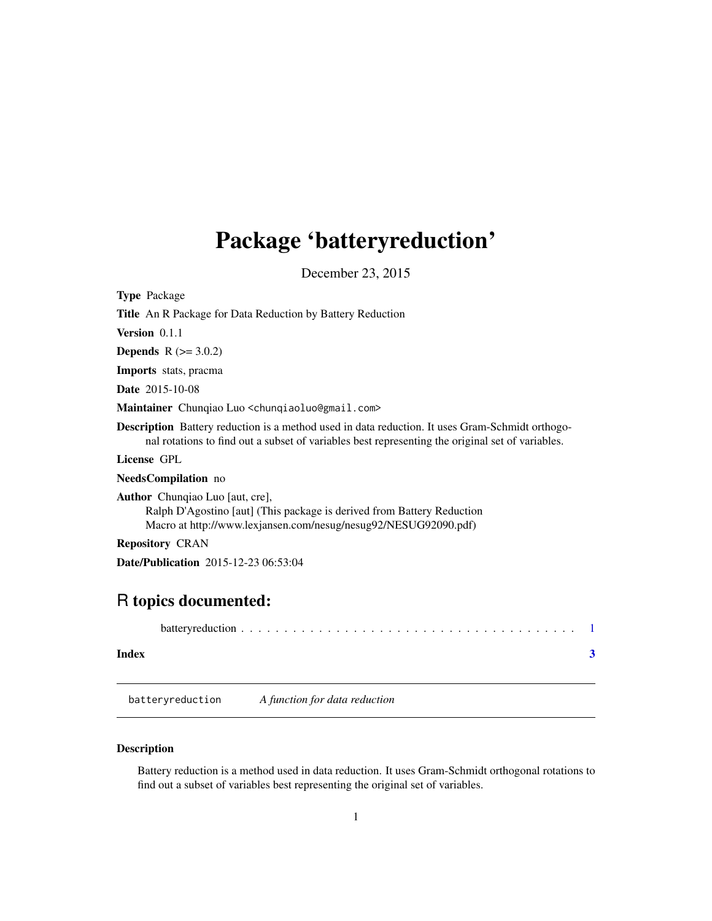# <span id="page-0-0"></span>Package 'batteryreduction'

December 23, 2015

| <b>Type</b> Package                                                                                                                                                                                        |  |  |
|------------------------------------------------------------------------------------------------------------------------------------------------------------------------------------------------------------|--|--|
| <b>Title</b> An R Package for Data Reduction by Battery Reduction                                                                                                                                          |  |  |
| Version $0.1.1$                                                                                                                                                                                            |  |  |
| <b>Depends</b> $R (= 3.0.2)$                                                                                                                                                                               |  |  |
| <b>Imports</b> stats, pracma                                                                                                                                                                               |  |  |
| <b>Date</b> 2015-10-08                                                                                                                                                                                     |  |  |
| Maintainer Chungiao Luo <chungiaoluo@gmail.com></chungiaoluo@gmail.com>                                                                                                                                    |  |  |
| <b>Description</b> Battery reduction is a method used in data reduction. It uses Gram-Schmidt orthogo-<br>nal rotations to find out a subset of variables best representing the original set of variables. |  |  |
| License GPL                                                                                                                                                                                                |  |  |
| <b>NeedsCompilation</b> no                                                                                                                                                                                 |  |  |
| <b>Author</b> Chungiao Luo [aut, cre],<br>Ralph D'Agostino [aut] (This package is derived from Battery Reduction<br>Macro at http://www.lexjansen.com/nesug/nesug92/NESUG92090.pdf)                        |  |  |
| <b>Repository CRAN</b>                                                                                                                                                                                     |  |  |
| <b>Date/Publication</b> 2015-12-23 06:53:04                                                                                                                                                                |  |  |
|                                                                                                                                                                                                            |  |  |

## R topics documented:

| Index |  |
|-------|--|

batteryreduction *A function for data reduction*

### Description

Battery reduction is a method used in data reduction. It uses Gram-Schmidt orthogonal rotations to find out a subset of variables best representing the original set of variables.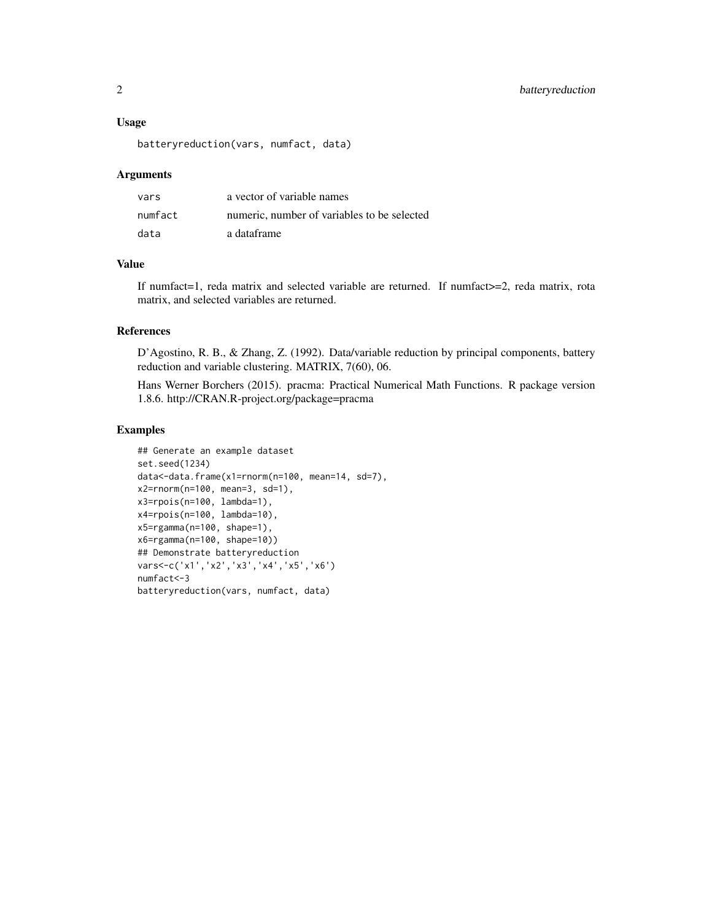#### Usage

batteryreduction(vars, numfact, data)

#### Arguments

| vars    | a vector of variable names                  |
|---------|---------------------------------------------|
| numfact | numeric, number of variables to be selected |
| data    | a dataframe                                 |

#### Value

If numfact=1, reda matrix and selected variable are returned. If numfact>=2, reda matrix, rota matrix, and selected variables are returned.

#### References

D'Agostino, R. B., & Zhang, Z. (1992). Data/variable reduction by principal components, battery reduction and variable clustering. MATRIX, 7(60), 06.

Hans Werner Borchers (2015). pracma: Practical Numerical Math Functions. R package version 1.8.6. http://CRAN.R-project.org/package=pracma

### Examples

```
## Generate an example dataset
set.seed(1234)
data<-data.frame(x1=rnorm(n=100, mean=14, sd=7),
x2=rnorm(n=100, mean=3, sd=1),
x3=rpois(n=100, lambda=1),
x4=rpois(n=100, lambda=10),
x5=rgamma(n=100, shape=1),
x6=rgamma(n=100, shape=10))
## Demonstrate batteryreduction
vars<-c('x1','x2','x3','x4','x5','x6')
numfact<-3
batteryreduction(vars, numfact, data)
```